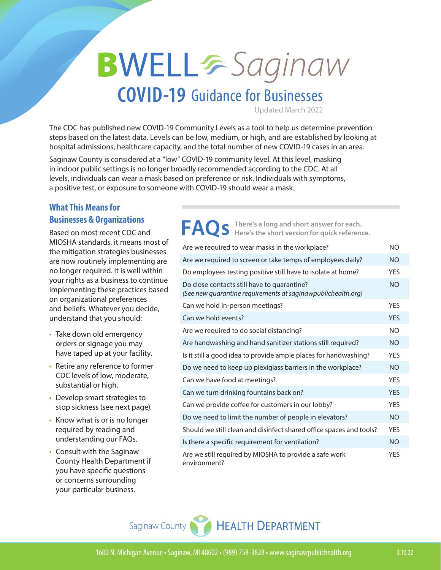# **BWELL**&Saginaw

### **COVID-19** Guidance for Businesses

Updated March 2022

The CDC has published new [COVID-19 Community Levels](https://www.cdc.gov/coronavirus/2019-ncov/science/community-levels.html) as a tool to help us determine prevention steps based on the latest data. Levels can be low, medium, or high, and are established by looking at hospital admissions, healthcare capacity, and the total number of new COVID-19 cases in an area.

Saginaw County is considered at a "low" COVID-19 community level. At this level, masking in indoor public settings is no longer broadly recommended according to the CDC. At all levels, individuals can wear a mask based on preference or risk. Individuals with symptoms, a positive test, or exposure to someone with COVID-19 should wear a mask.

#### **What This Means for Businesses & Organizations**

Based on most recent CDC and MIOSHA standards, it means most of the mitigation strategies businesses are now routinely implementing are no longer required. It is well within your rights as a business to continue implementing these practices based on organizational preferences and beliefs. Whatever you decide, understand that you should:

- **•** Take down old emergency orders or signage you may have taped up at your facility.
- **•** Retire any reference to former CDC levels of low, moderate, substantial or high.
- **•** Develop smart strategies to stop sickness (see next page).
- **•** Know what is or is no longer required by reading and understanding our FAQs.
- **•** Consult with the Saginaw County Health Department if you have specific questions or concerns surrounding your particular business.

Are we required to wear masks in the workplace? NO Are we required to screen or take temps of employees daily? NO Do employees testing positive still have to isolate at home? YES Do close contacts still have to quarantine? *(See new quarantine requirements at saginawpublichealth.org)* NO Can we hold in-person meetings? The same of the VES Can we hold events? The contract of the contract of the contract of the contract of the contract of the contract of the contract of the contract of the contract of the contract of the contract of the contract of the contra Are we required to do social distancing? Are handwashing and hand sanitizer stations still required? NO Is it still a good idea to provide ample places for handwashing? YES Do we need to keep up plexiglass barriers in the workplace? NO Can we have food at meetings? The manufacturer of the YES Can we turn drinking fountains back on? The Can we turn drinking fountains back on? Can we provide coffee for customers in our lobby? YES Do we need to limit the number of people in elevators? NO Should we still clean and disinfect shared office spaces and tools? YES Is there a specific requirement for ventilation? Are we still required by MIOSHA to provide a safe work environment? YF<sub>S</sub> FAQS There's a long and short answer for each.<br>FAQS Here's the short version for quick reference.